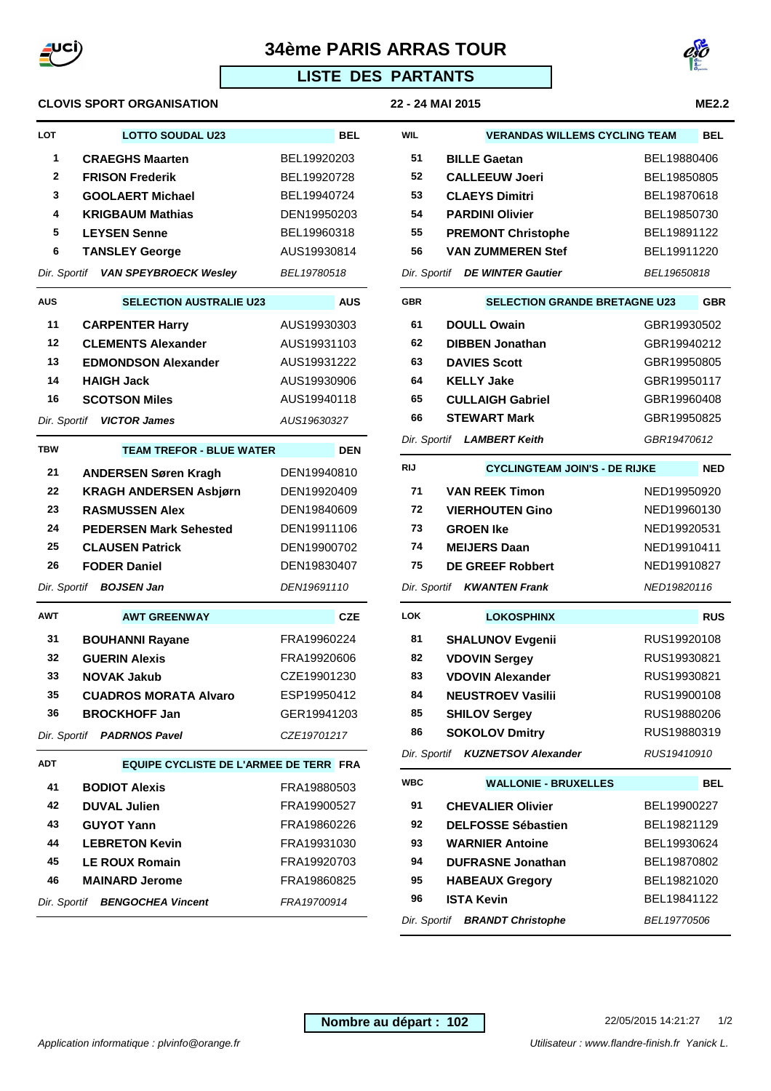

# **34ème PARIS ARRAS TOUR**





### **CLOVIS SPORT ORGANISATION 22 - 24 MAI 2015 ME2.2**

| LOT                                                      | <b>LOTTO SOUDAL U23</b>                | <b>BEL</b>  |  |
|----------------------------------------------------------|----------------------------------------|-------------|--|
| 1                                                        | <b>CRAEGHS Maarten</b>                 | BEL19920203 |  |
| $\mathbf{2}$                                             | <b>FRISON Frederik</b>                 | BEL19920728 |  |
| 3                                                        | <b>GOOLAERT Michael</b>                | BEL19940724 |  |
| 4                                                        | <b>KRIGBAUM Mathias</b>                | DEN19950203 |  |
| 5                                                        | <b>LEYSEN Senne</b>                    | BEL19960318 |  |
| 6                                                        | <b>TANSLEY George</b>                  | AUS19930814 |  |
| Dir. Sportif                                             | <b>VAN SPEYBROECK Wesley</b>           | BEL19780518 |  |
| AUS                                                      | <b>SELECTION AUSTRALIE U23</b>         | AUS         |  |
| 11                                                       | <b>CARPENTER Harry</b>                 | AUS19930303 |  |
| 12                                                       | <b>CLEMENTS Alexander</b>              | AUS19931103 |  |
| 13                                                       | <b>EDMONDSON Alexander</b>             | AUS19931222 |  |
| 14                                                       | <b>HAIGH Jack</b>                      | AUS19930906 |  |
| 16                                                       | <b>SCOTSON Miles</b>                   | AUS19940118 |  |
| Dir. Sportif                                             | <b>VICTOR James</b>                    | AUS19630327 |  |
| <b>TBW</b>                                               | <b>TEAM TREFOR - BLUE WATER</b>        | <b>DEN</b>  |  |
| 21                                                       | <b>ANDERSEN Søren Kragh</b>            | DEN19940810 |  |
| 22                                                       | <b>KRAGH ANDERSEN Asbjørn</b>          | DEN19920409 |  |
| 23                                                       | <b>RASMUSSEN Alex</b>                  | DEN19840609 |  |
| 24                                                       | <b>PEDERSEN Mark Sehested</b>          | DEN19911106 |  |
| 25                                                       | <b>CLAUSEN Patrick</b>                 | DEN19900702 |  |
| 26                                                       | <b>FODER Daniel</b>                    | DEN19830407 |  |
| Dir. Sportif                                             | <b>BOJSEN Jan</b>                      | DEN19691110 |  |
| AWT                                                      | <b>AWT GREENWAY</b>                    | <b>CZE</b>  |  |
| 31                                                       | <b>BOUHANNI Rayane</b>                 | FRA19960224 |  |
| 32                                                       | <b>GUERIN Alexis</b>                   | FRA19920606 |  |
| 33                                                       | <b>NOVAK Jakub</b>                     | CZE19901230 |  |
| 35                                                       | <b>CUADROS MORATA Alvaro</b>           | ESP19950412 |  |
| 36                                                       | <b>BROCKHOFF Jan</b>                   | GER19941203 |  |
| Dir. Sportif                                             | <b>PADRNOS Pavel</b>                   | CZE19701217 |  |
| <b>ADT</b>                                               | EQUIPE CYCLISTE DE L'ARMEE DE TERR FRA |             |  |
| 41                                                       | <b>BODIOT Alexis</b>                   | FRA19880503 |  |
| 42                                                       | <b>DUVAL Julien</b>                    | FRA19900527 |  |
| 43                                                       | <b>GUYOT Yann</b>                      | FRA19860226 |  |
| 44                                                       | <b>LEBRETON Kevin</b>                  | FRA19931030 |  |
| 45                                                       | <b>LE ROUX Romain</b>                  | FRA19920703 |  |
| 46                                                       | <b>MAINARD Jerome</b>                  | FRA19860825 |  |
| Dir. Sportif<br><b>BENGOCHEA Vincent</b><br>FRA 19700914 |                                        |             |  |

| <b>WIL</b>   | <b>VERANDAS WILLEMS CYCLING TEAM</b> | BEL         |
|--------------|--------------------------------------|-------------|
| 51           | <b>BILLE Gaetan</b>                  | BEL19880406 |
| 52           | <b>CALLEEUW Joeri</b>                | BEL19850805 |
| 53           | <b>CLAEYS Dimitri</b>                | BEL19870618 |
| 54           | <b>PARDINI Olivier</b>               | BEL19850730 |
| 55           | <b>PREMONT Christophe</b>            | BEL19891122 |
| 56           | <b>VAN ZUMMEREN Stef</b>             | BEL19911220 |
|              | Dir. Sportif DE WINTER Gautier       | BEL19650818 |
| <b>GBR</b>   | <b>SELECTION GRANDE BRETAGNE U23</b> | GBR         |
| 61           | <b>DOULL Owain</b>                   | GBR19930502 |
| 62           | <b>DIBBEN Jonathan</b>               | GBR19940212 |
| 63           | <b>DAVIES Scott</b>                  | GBR19950805 |
| 64           | <b>KELLY Jake</b>                    | GBR19950117 |
| 65           | <b>CULLAIGH Gabriel</b>              | GBR19960408 |
| 66           | <b>STEWART Mark</b>                  | GBR19950825 |
|              | Dir. Sportif LAMBERT Keith           | GBR19470612 |
| RIJ          | <b>CYCLINGTEAM JOIN'S - DE RIJKE</b> | NED         |
| 71           | <b>VAN REEK Timon</b>                | NED19950920 |
| 72           | <b>VIERHOUTEN Gino</b>               | NED19960130 |
| 73           | <b>GROEN Ike</b>                     | NED19920531 |
| 74           | <b>MEIJERS Daan</b>                  | NED19910411 |
| 75           | <b>DE GREEF Robbert</b>              | NED19910827 |
|              | Dir. Sportif KWANTEN Frank           | NED19820116 |
| <b>LOK</b>   | <b>LOKOSPHINX</b>                    | <b>RUS</b>  |
| 81           | <b>SHALUNOV Evgenii</b>              | RUS19920108 |
| 82           | <b>VDOVIN Sergey</b>                 | RUS19930821 |
| 83           | <b>VDOVIN Alexander</b>              | RUS19930821 |
| 84           | <b>NEUSTROEV Vasilii</b>             | RUS19900108 |
| 85           | <b>SHILOV Sergey</b>                 | RUS19880206 |
| 86           | <b>SOKOLOV Dmitry</b>                | RUS19880319 |
| Dir. Sportif | <b>KUZNETSOV Alexander</b>           | RUS19410910 |
| <b>WBC</b>   | <b>WALLONIE - BRUXELLES</b>          | BEL         |
| 91           | <b>CHEVALIER Olivier</b>             | BEL19900227 |
| 92           | <b>DELFOSSE Sébastien</b>            | BEL19821129 |
| 93           | <b>WARNIER Antoine</b>               | BEL19930624 |
| 94           | <b>DUFRASNE Jonathan</b>             | BEL19870802 |
| 95           | <b>HABEAUX Gregory</b>               | BEL19821020 |
| 96           | <b>ISTA Kevin</b>                    | BEL19841122 |
|              | Dir. Sportif BRANDT Christophe       | BEL19770506 |